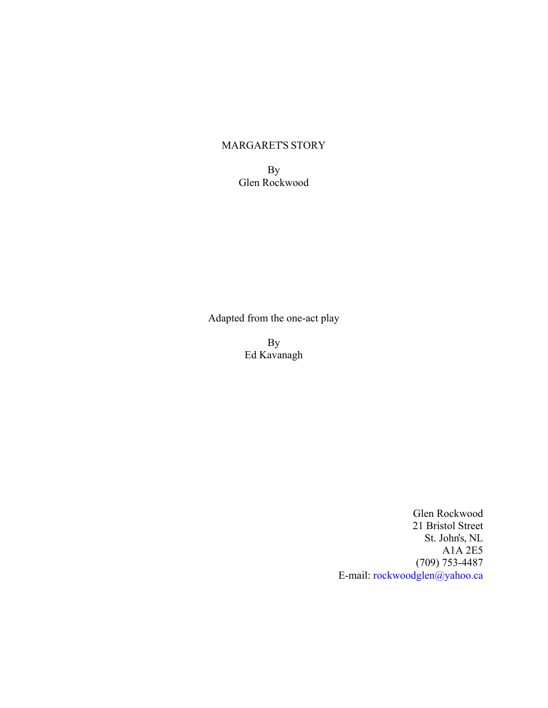# MARGARET'S STORY

By Glen Rockwood

Adapted from the one-act play

By Ed Kavanagh

> Glen Rockwood 21 Bristol Street St. John's, NL A1A 2E5 (709) 753-4487 E-mail: [rockwoodglen@yahoo.ca](mailto:rockwoodglen@yahoo.ca)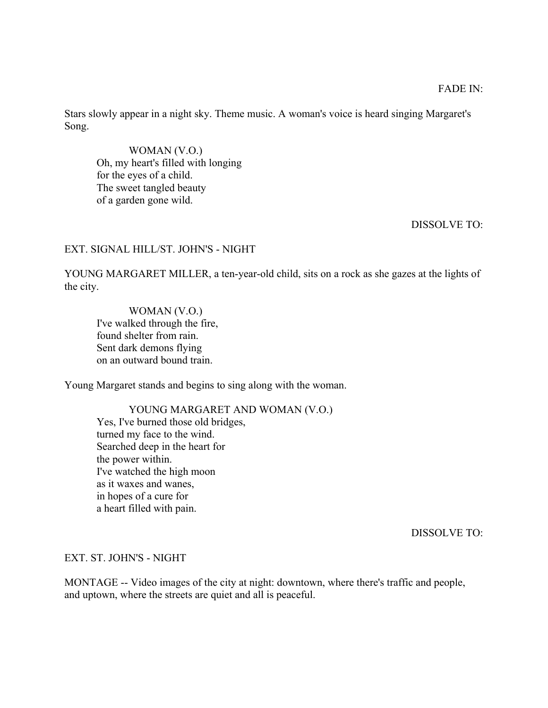Stars slowly appear in a night sky. Theme music. A woman's voice is heard singing Margaret's Song.

 WOMAN (V.O.) Oh, my heart's filled with longing for the eyes of a child. The sweet tangled beauty of a garden gone wild.

### DISSOLVE TO:

### EXT. SIGNAL HILL/ST. JOHN'S - NIGHT

YOUNG MARGARET MILLER, a ten-year-old child, sits on a rock as she gazes at the lights of the city.

 WOMAN (V.O.) I've walked through the fire, found shelter from rain. Sent dark demons flying on an outward bound train.

Young Margaret stands and begins to sing along with the woman.

 YOUNG MARGARET AND WOMAN (V.O.) Yes, I've burned those old bridges, turned my face to the wind. Searched deep in the heart for the power within. I've watched the high moon as it waxes and wanes, in hopes of a cure for a heart filled with pain.

DISSOLVE TO:

#### EXT. ST. JOHN'S - NIGHT

MONTAGE -- Video images of the city at night: downtown, where there's traffic and people, and uptown, where the streets are quiet and all is peaceful.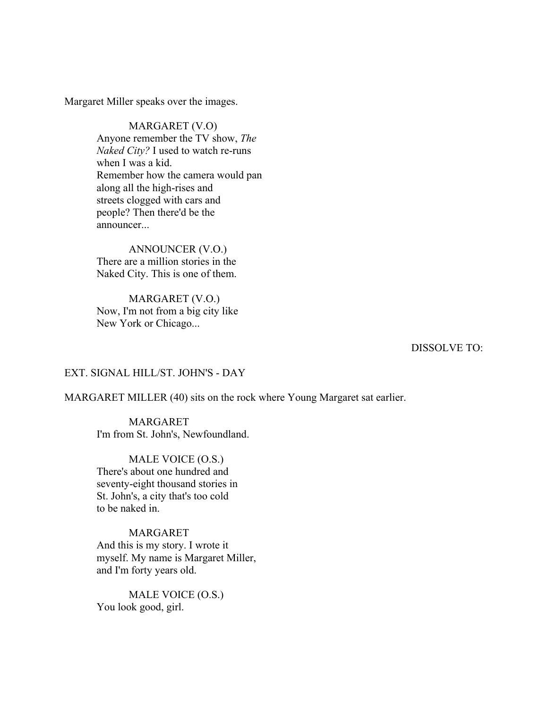Margaret Miller speaks over the images.

 MARGARET (V.O) Anyone remember the TV show, *The Naked City?* I used to watch re-runs when I was a kid. Remember how the camera would pan along all the high-rises and streets clogged with cars and people? Then there'd be the announcer

 ANNOUNCER (V.O.) There are a million stories in the Naked City. This is one of them.

 MARGARET (V.O.) Now, I'm not from a big city like New York or Chicago...

DISSOLVE TO:

### EXT. SIGNAL HILL/ST. JOHN'S - DAY

MARGARET MILLER (40) sits on the rock where Young Margaret sat earlier.

### MARGARET I'm from St. John's, Newfoundland.

# MALE VOICE (O.S.) There's about one hundred and

seventy-eight thousand stories in St. John's, a city that's too cold to be naked in.

# MARGARET

And this is my story. I wrote it myself. My name is Margaret Miller, and I'm forty years old.

 MALE VOICE (O.S.) You look good, girl.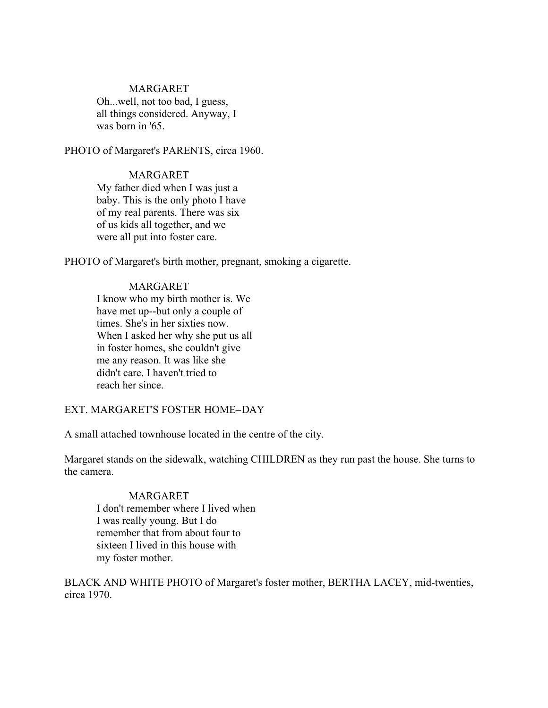# MARGARET

Oh...well, not too bad, I guess, all things considered. Anyway, I was born in '65.

PHOTO of Margaret's PARENTS, circa 1960.

# MARGARET

My father died when I was just a baby. This is the only photo I have of my real parents. There was six of us kids all together, and we were all put into foster care.

PHOTO of Margaret's birth mother, pregnant, smoking a cigarette.

# MARGARET

I know who my birth mother is. We have met up--but only a couple of times. She's in her sixties now. When I asked her why she put us all in foster homes, she couldn't give me any reason. It was like she didn't care. I haven't tried to reach her since.

# EXT. MARGARET'S FOSTER HOME-DAY

A small attached townhouse located in the centre of the city.

Margaret stands on the sidewalk, watching CHILDREN as they run past the house. She turns to the camera.

### MARGARET

I don't remember where I lived when I was really young. But I do remember that from about four to sixteen I lived in this house with my foster mother.

BLACK AND WHITE PHOTO of Margaret's foster mother, BERTHA LACEY, mid-twenties, circa 1970.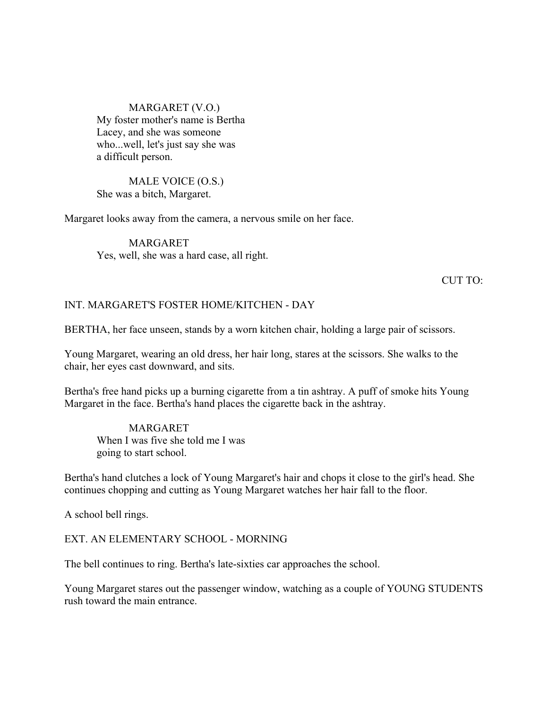# MARGARET (V.O.) My foster mother's name is Bertha Lacey, and she was someone who...well, let's just say she was a difficult person.

### MALE VOICE (O.S.) She was a bitch, Margaret.

Margaret looks away from the camera, a nervous smile on her face.

# MARGARET Yes, well, she was a hard case, all right.

### CUT TO:

# INT. MARGARET'S FOSTER HOME/KITCHEN - DAY

BERTHA, her face unseen, stands by a worn kitchen chair, holding a large pair of scissors.

Young Margaret, wearing an old dress, her hair long, stares at the scissors. She walks to the chair, her eyes cast downward, and sits.

Bertha's free hand picks up a burning cigarette from a tin ashtray. A puff of smoke hits Young Margaret in the face. Bertha's hand places the cigarette back in the ashtray.

MARGARET When I was five she told me I was going to start school.

Bertha's hand clutches a lock of Young Margaret's hair and chops it close to the girl's head. She continues chopping and cutting as Young Margaret watches her hair fall to the floor.

A school bell rings.

#### EXT. AN ELEMENTARY SCHOOL - MORNING

The bell continues to ring. Bertha's late-sixties car approaches the school.

Young Margaret stares out the passenger window, watching as a couple of YOUNG STUDENTS rush toward the main entrance.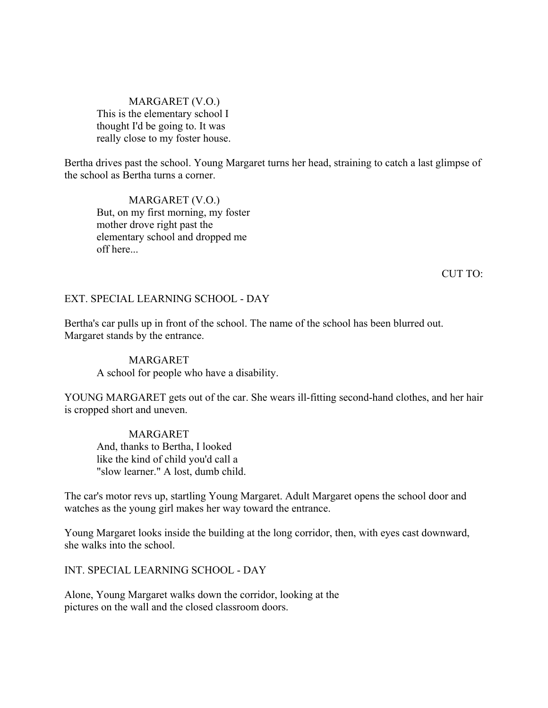# MARGARET (V.O.) This is the elementary school I thought I'd be going to. It was really close to my foster house.

Bertha drives past the school. Young Margaret turns her head, straining to catch a last glimpse of the school as Bertha turns a corner.

MARGARET (V.O.) But, on my first morning, my foster mother drove right past the elementary school and dropped me off here...

CUT TO:

### EXT. SPECIAL LEARNING SCHOOL - DAY

Bertha's car pulls up in front of the school. The name of the school has been blurred out. Margaret stands by the entrance.

# MARGARET A school for people who have a disability.

YOUNG MARGARET gets out of the car. She wears ill-fitting second-hand clothes, and her hair is cropped short and uneven.

MARGARET And, thanks to Bertha, I looked like the kind of child you'd call a "slow learner." A lost, dumb child.

The car's motor revs up, startling Young Margaret. Adult Margaret opens the school door and watches as the young girl makes her way toward the entrance.

Young Margaret looks inside the building at the long corridor, then, with eyes cast downward, she walks into the school.

INT. SPECIAL LEARNING SCHOOL - DAY

Alone, Young Margaret walks down the corridor, looking at the pictures on the wall and the closed classroom doors.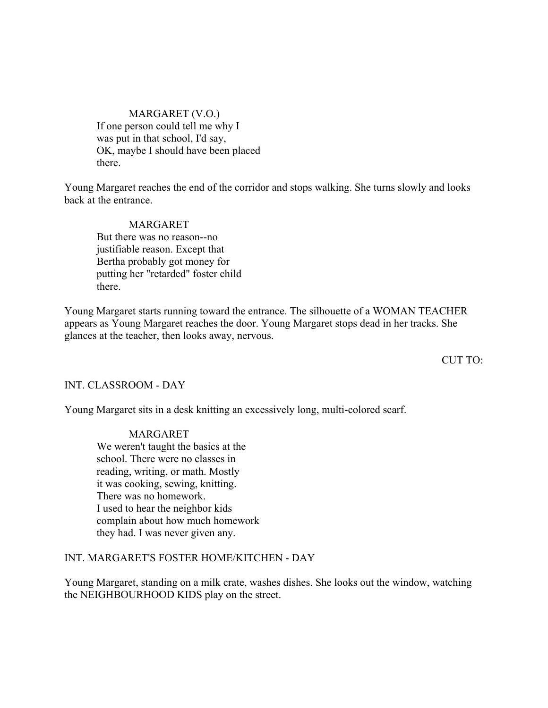# MARGARET (V.O.) If one person could tell me why I was put in that school, I'd say, OK, maybe I should have been placed there.

Young Margaret reaches the end of the corridor and stops walking. She turns slowly and looks back at the entrance.

MARGARET But there was no reason--no justifiable reason. Except that Bertha probably got money for putting her "retarded" foster child there.

Young Margaret starts running toward the entrance. The silhouette of a WOMAN TEACHER appears as Young Margaret reaches the door. Young Margaret stops dead in her tracks. She glances at the teacher, then looks away, nervous.

CUT TO:

INT. CLASSROOM - DAY

Young Margaret sits in a desk knitting an excessively long, multi-colored scarf.

#### MARGARET

We weren't taught the basics at the school. There were no classes in reading, writing, or math. Mostly it was cooking, sewing, knitting. There was no homework. I used to hear the neighbor kids complain about how much homework they had. I was never given any.

# INT. MARGARET'S FOSTER HOME/KITCHEN - DAY

Young Margaret, standing on a milk crate, washes dishes. She looks out the window, watching the NEIGHBOURHOOD KIDS play on the street.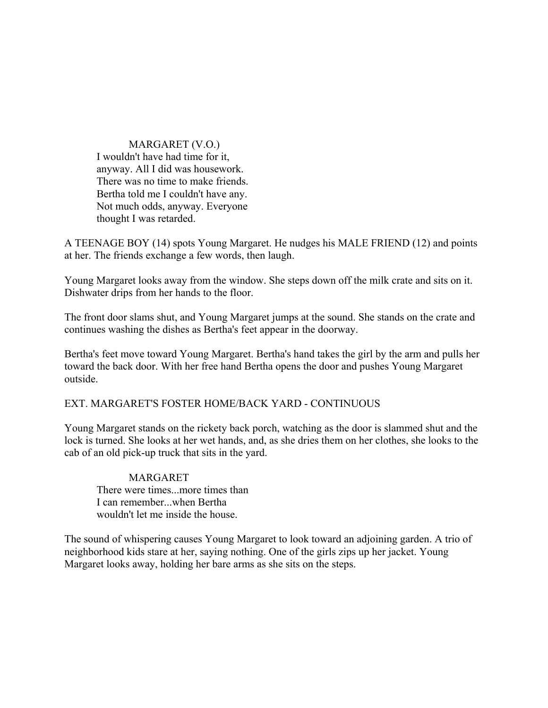MARGARET (V.O.) I wouldn't have had time for it, anyway. All I did was housework. There was no time to make friends. Bertha told me I couldn't have any. Not much odds, anyway. Everyone thought I was retarded.

A TEENAGE BOY (14) spots Young Margaret. He nudges his MALE FRIEND (12) and points at her. The friends exchange a few words, then laugh.

Young Margaret looks away from the window. She steps down off the milk crate and sits on it. Dishwater drips from her hands to the floor.

The front door slams shut, and Young Margaret jumps at the sound. She stands on the crate and continues washing the dishes as Bertha's feet appear in the doorway.

Bertha's feet move toward Young Margaret. Bertha's hand takes the girl by the arm and pulls her toward the back door. With her free hand Bertha opens the door and pushes Young Margaret outside.

EXT. MARGARET'S FOSTER HOME/BACK YARD - CONTINUOUS

Young Margaret stands on the rickety back porch, watching as the door is slammed shut and the lock is turned. She looks at her wet hands, and, as she dries them on her clothes, she looks to the cab of an old pick-up truck that sits in the yard.

MARGARET There were times...more times than I can remember...when Bertha wouldn't let me inside the house.

The sound of whispering causes Young Margaret to look toward an adjoining garden. A trio of neighborhood kids stare at her, saying nothing. One of the girls zips up her jacket. Young Margaret looks away, holding her bare arms as she sits on the steps.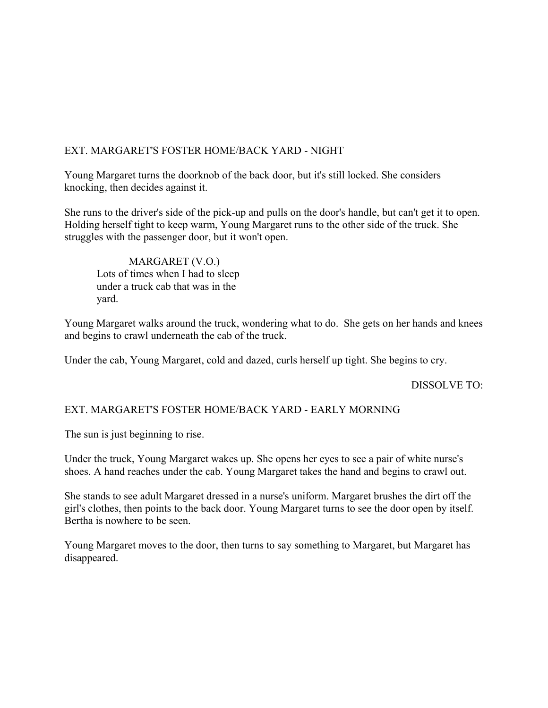# EXT. MARGARET'S FOSTER HOME/BACK YARD - NIGHT

Young Margaret turns the doorknob of the back door, but it's still locked. She considers knocking, then decides against it.

She runs to the driver's side of the pick-up and pulls on the door's handle, but can't get it to open. Holding herself tight to keep warm, Young Margaret runs to the other side of the truck. She struggles with the passenger door, but it won't open.

MARGARET (V.O.) Lots of times when I had to sleep under a truck cab that was in the yard.

Young Margaret walks around the truck, wondering what to do. She gets on her hands and knees and begins to crawl underneath the cab of the truck.

Under the cab, Young Margaret, cold and dazed, curls herself up tight. She begins to cry.

DISSOLVE TO:

# EXT. MARGARET'S FOSTER HOME/BACK YARD - EARLY MORNING

The sun is just beginning to rise.

Under the truck, Young Margaret wakes up. She opens her eyes to see a pair of white nurse's shoes. A hand reaches under the cab. Young Margaret takes the hand and begins to crawl out.

She stands to see adult Margaret dressed in a nurse's uniform. Margaret brushes the dirt off the girl's clothes, then points to the back door. Young Margaret turns to see the door open by itself. Bertha is nowhere to be seen.

Young Margaret moves to the door, then turns to say something to Margaret, but Margaret has disappeared.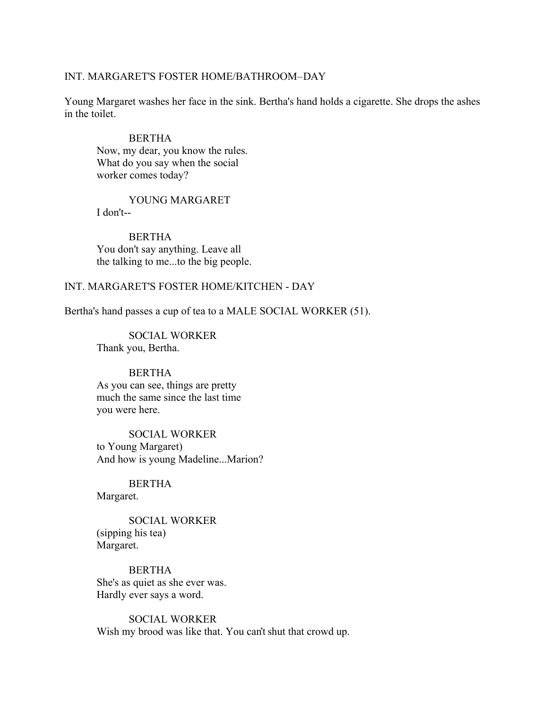#### INT. MARGARET'S FOSTER HOME/BATHROOM-DAY

Young Margaret washes her face in the sink. Bertha's hand holds a cigarette. She drops the ashes in the toilet.

#### BERTHA

Now, my dear, you know the rules. What do you say when the social worker comes today?

YOUNG MARGARET I don't--

BERTHA You don't say anything. Leave all the talking to me...to the big people.

# INT. MARGARET'S FOSTER HOME/KITCHEN - DAY

Bertha's hand passes a cup of tea to a MALE SOCIAL WORKER (51).

 SOCIAL WORKER Thank you, Bertha.

### BERTHA

As you can see, things are pretty much the same since the last time you were here.

SOCIAL WORKER to Young Margaret) And how is young Madeline...Marion?

BERTHA Margaret.

SOCIAL WORKER (sipping his tea) Margaret.

BERTHA She's as quiet as she ever was. Hardly ever says a word.

SOCIAL WORKER Wish my brood was like that. You can't shut that crowd up.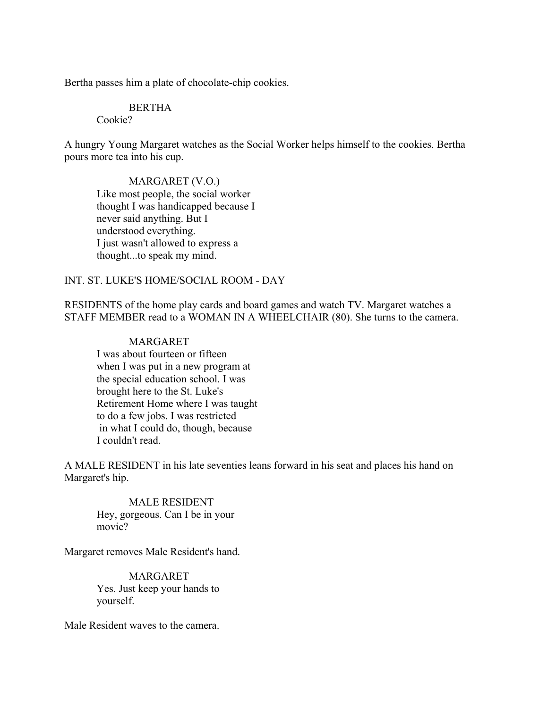Bertha passes him a plate of chocolate-chip cookies.

# BERTHA

Cookie?

A hungry Young Margaret watches as the Social Worker helps himself to the cookies. Bertha pours more tea into his cup.

MARGARET (V.O.) Like most people, the social worker thought I was handicapped because I never said anything. But I understood everything. I just wasn't allowed to express a thought...to speak my mind.

# INT. ST. LUKE'S HOME/SOCIAL ROOM - DAY

RESIDENTS of the home play cards and board games and watch TV. Margaret watches a STAFF MEMBER read to a WOMAN IN A WHEELCHAIR (80). She turns to the camera.

# MARGARET

I was about fourteen or fifteen when I was put in a new program at the special education school. I was brought here to the St. Luke's Retirement Home where I was taught to do a few jobs. I was restricted in what I could do, though, because I couldn't read.

A MALE RESIDENT in his late seventies leans forward in his seat and places his hand on Margaret's hip.

# MALE RESIDENT

Hey, gorgeous. Can I be in your movie?

Margaret removes Male Resident's hand.

MARGARET Yes. Just keep your hands to yourself.

Male Resident waves to the camera.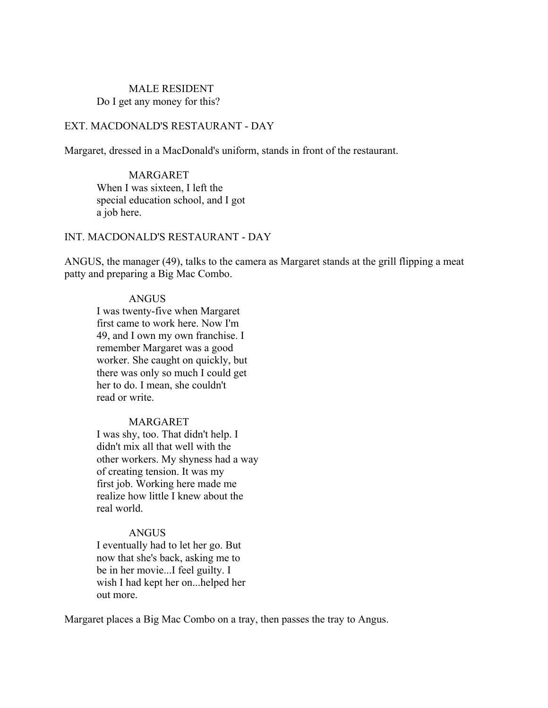# MALE RESIDENT Do I get any money for this?

# EXT. MACDONALD'S RESTAURANT - DAY

Margaret, dressed in a MacDonald's uniform, stands in front of the restaurant.

MARGARET When I was sixteen, I left the special education school, and I got a job here.

# INT. MACDONALD'S RESTAURANT - DAY

ANGUS, the manager (49), talks to the camera as Margaret stands at the grill flipping a meat patty and preparing a Big Mac Combo.

### ANGUS

I was twenty-five when Margaret first came to work here. Now I'm 49, and I own my own franchise. I remember Margaret was a good worker. She caught on quickly, but there was only so much I could get her to do. I mean, she couldn't read or write.

### MARGARET

I was shy, too. That didn't help. I didn't mix all that well with the other workers. My shyness had a way of creating tension. It was my first job. Working here made me realize how little I knew about the real world.

#### ANGUS

I eventually had to let her go. But now that she's back, asking me to be in her movie...I feel guilty. I wish I had kept her on...helped her out more.

Margaret places a Big Mac Combo on a tray, then passes the tray to Angus.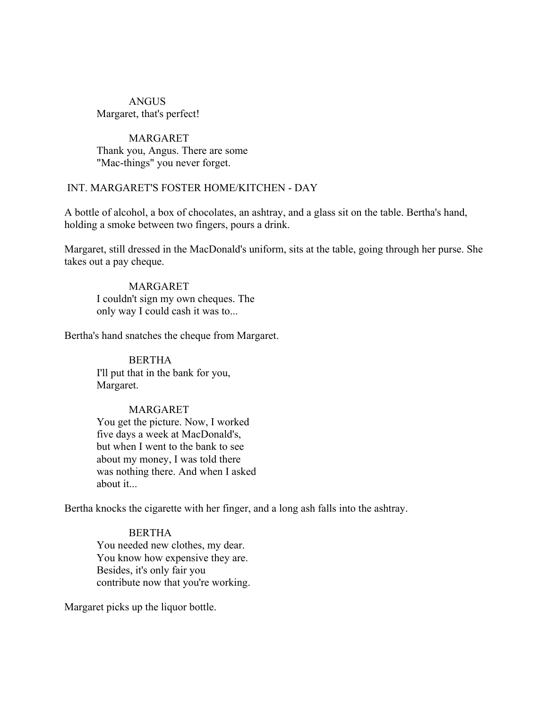# ANGUS Margaret, that's perfect!

# MARGARET Thank you, Angus. There are some "Mac-things" you never forget.

# INT. MARGARET'S FOSTER HOME/KITCHEN - DAY

A bottle of alcohol, a box of chocolates, an ashtray, and a glass sit on the table. Bertha's hand, holding a smoke between two fingers, pours a drink.

Margaret, still dressed in the MacDonald's uniform, sits at the table, going through her purse. She takes out a pay cheque.

# MARGARET I couldn't sign my own cheques. The only way I could cash it was to...

Bertha's hand snatches the cheque from Margaret.

BERTHA I'll put that in the bank for you, Margaret.

### MARGARET

You get the picture. Now, I worked five days a week at MacDonald's, but when I went to the bank to see about my money, I was told there was nothing there. And when I asked about it...

Bertha knocks the cigarette with her finger, and a long ash falls into the ashtray.

**BERTHA** You needed new clothes, my dear. You know how expensive they are. Besides, it's only fair you contribute now that you're working.

Margaret picks up the liquor bottle.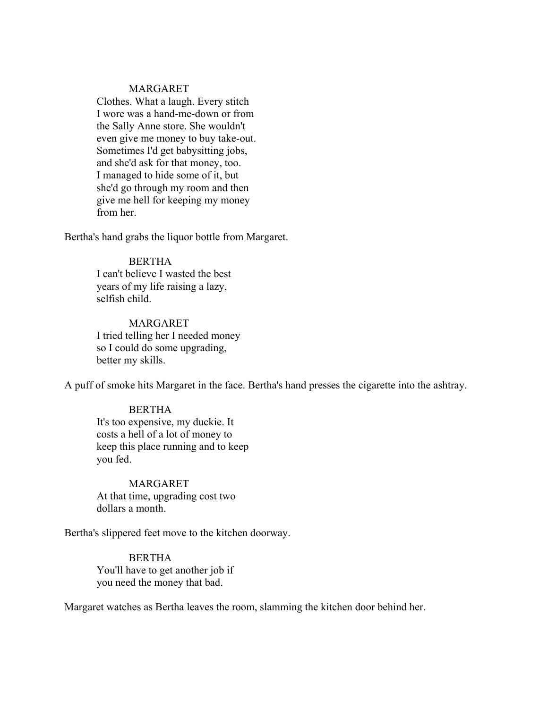### MARGARET

Clothes. What a laugh. Every stitch I wore was a hand-me-down or from the Sally Anne store. She wouldn't even give me money to buy take-out. Sometimes I'd get babysitting jobs, and she'd ask for that money, too. I managed to hide some of it, but she'd go through my room and then give me hell for keeping my money from her.

Bertha's hand grabs the liquor bottle from Margaret.

## BERTHA

I can't believe I wasted the best years of my life raising a lazy, selfish child.

MARGARET I tried telling her I needed money so I could do some upgrading, better my skills.

A puff of smoke hits Margaret in the face. Bertha's hand presses the cigarette into the ashtray.

### BERTHA

It's too expensive, my duckie. It costs a hell of a lot of money to keep this place running and to keep you fed.

MARGARET At that time, upgrading cost two dollars a month.

Bertha's slippered feet move to the kitchen doorway.

**BERTHA** You'll have to get another job if you need the money that bad.

Margaret watches as Bertha leaves the room, slamming the kitchen door behind her.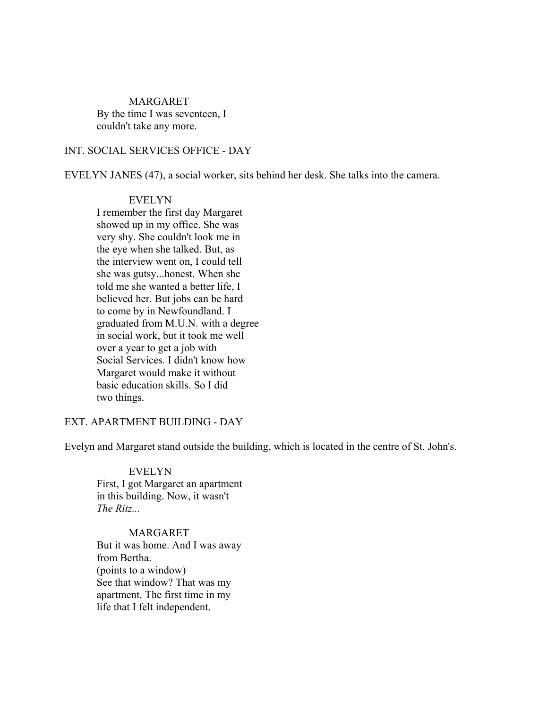#### MARGARET

By the time I was seventeen, I couldn't take any more.

# INT. SOCIAL SERVICES OFFICE - DAY

EVELYN JANES (47), a social worker, sits behind her desk. She talks into the camera.

#### EVELYN

I remember the first day Margaret showed up in my office. She was very shy. She couldn't look me in the eye when she talked. But, as the interview went on, I could tell she was gutsy...honest. When she told me she wanted a better life, I believed her. But jobs can be hard to come by in Newfoundland. I graduated from M.U.N. with a degree in social work, but it took me well over a year to get a job with Social Services. I didn't know how Margaret would make it without basic education skills. So I did two things.

### EXT. APARTMENT BUILDING - DAY

Evelyn and Margaret stand outside the building, which is located in the centre of St. John's.

#### EVELYN

First, I got Margaret an apartment in this building. Now, it wasn't *The Ritz...* 

# MARGARET

But it was home. And I was away from Bertha. (points to a window) See that window? That was my apartment. The first time in my life that I felt independent.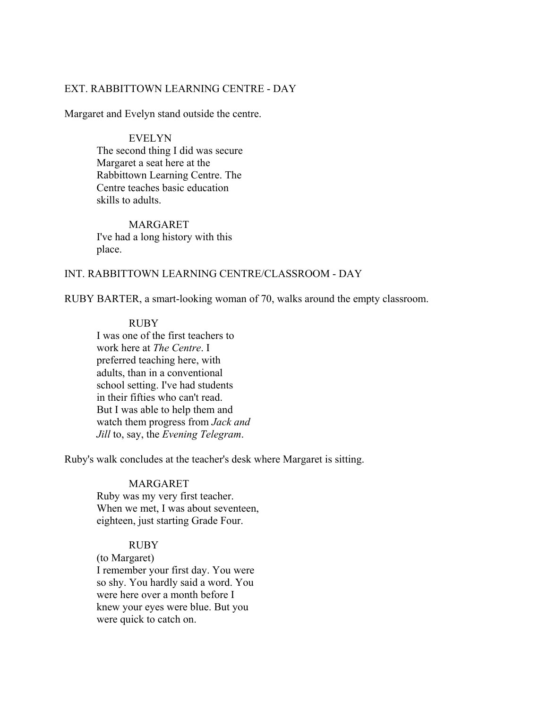# EXT. RABBITTOWN LEARNING CENTRE - DAY

Margaret and Evelyn stand outside the centre.

EVELYN The second thing I did was secure Margaret a seat here at the Rabbittown Learning Centre. The Centre teaches basic education skills to adults.

MARGARET I've had a long history with this place.

#### INT. RABBITTOWN LEARNING CENTRE/CLASSROOM - DAY

RUBY BARTER, a smart-looking woman of 70, walks around the empty classroom.

#### RUBY

I was one of the first teachers to work here at *The Centre*. I preferred teaching here, with adults, than in a conventional school setting. I've had students in their fifties who can't read. But I was able to help them and watch them progress from *Jack and Jill* to, say, the *Evening Telegram*.

Ruby's walk concludes at the teacher's desk where Margaret is sitting.

# MARGARET

Ruby was my very first teacher. When we met, I was about seventeen, eighteen, just starting Grade Four.

# RUBY

(to Margaret) I remember your first day. You were so shy. You hardly said a word. You were here over a month before I knew your eyes were blue. But you were quick to catch on.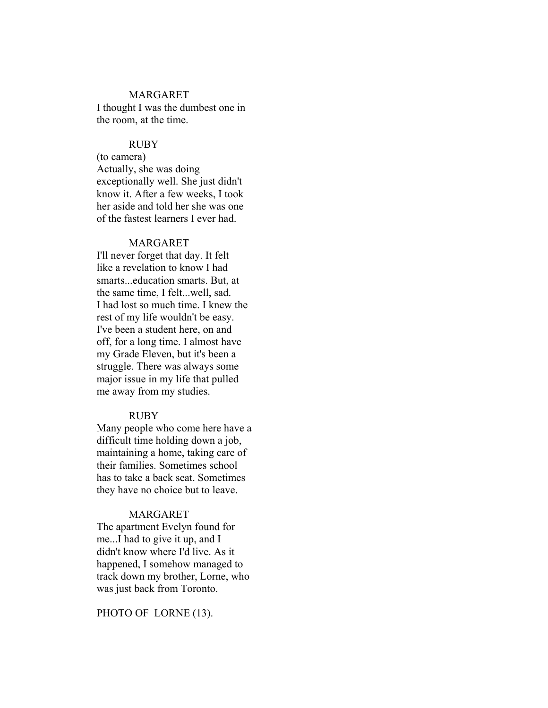#### MARGARET

I thought I was the dumbest one in the room, at the time.

#### RUBY

(to camera) Actually, she was doing exceptionally well. She just didn't know it. After a few weeks, I took her aside and told her she was one of the fastest learners I ever had.

### MARGARET

I'll never forget that day. It felt like a revelation to know I had smarts...education smarts. But, at the same time, I felt...well, sad. I had lost so much time. I knew the rest of my life wouldn't be easy. I've been a student here, on and off, for a long time. I almost have my Grade Eleven, but it's been a struggle. There was always some major issue in my life that pulled me away from my studies.

#### RUBY

Many people who come here have a difficult time holding down a job, maintaining a home, taking care of their families. Sometimes school has to take a back seat. Sometimes they have no choice but to leave.

#### MARGARET

The apartment Evelyn found for me...I had to give it up, and I didn't know where I'd live. As it happened, I somehow managed to track down my brother, Lorne, who was just back from Toronto.

#### PHOTO OF LORNE (13).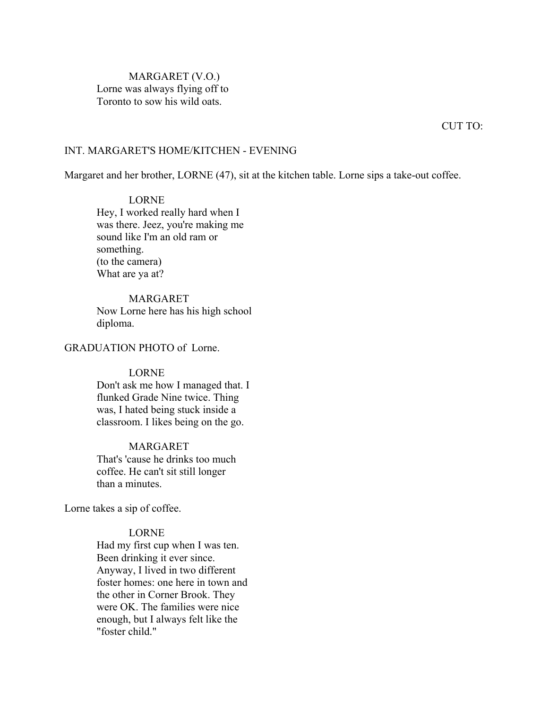MARGARET (V.O.) Lorne was always flying off to Toronto to sow his wild oats.

CUT TO:

#### INT. MARGARET'S HOME/KITCHEN - EVENING

Margaret and her brother, LORNE (47), sit at the kitchen table. Lorne sips a take-out coffee.

# LORNE

Hey, I worked really hard when I was there. Jeez, you're making me sound like I'm an old ram or something. (to the camera) What are ya at?

### MARGARET

Now Lorne here has his high school diploma.

#### GRADUATION PHOTO of Lorne.

#### LORNE

Don't ask me how I managed that. I flunked Grade Nine twice. Thing was, I hated being stuck inside a classroom. I likes being on the go.

### MARGARET

That's 'cause he drinks too much coffee. He can't sit still longer than a minutes.

Lorne takes a sip of coffee.

# LORNE

Had my first cup when I was ten. Been drinking it ever since. Anyway, I lived in two different foster homes: one here in town and the other in Corner Brook. They were OK. The families were nice enough, but I always felt like the "foster child."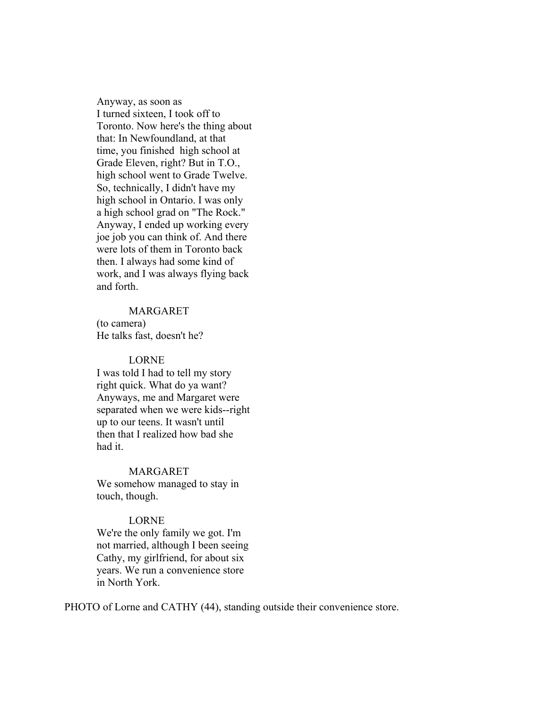Anyway, as soon as I turned sixteen, I took off to Toronto. Now here's the thing about that: In Newfoundland, at that time, you finished high school at Grade Eleven, right? But in T.O., high school went to Grade Twelve. So, technically, I didn't have my high school in Ontario. I was only a high school grad on "The Rock." Anyway, I ended up working every joe job you can think of. And there were lots of them in Toronto back then. I always had some kind of work, and I was always flying back and forth.

# MARGARET

(to camera) He talks fast, doesn't he?

#### LORNE

I was told I had to tell my story right quick. What do ya want? Anyways, me and Margaret were separated when we were kids--right up to our teens. It wasn't until then that I realized how bad she had it.

#### MARGARET

We somehow managed to stay in touch, though.

#### LORNE

We're the only family we got. I'm not married, although I been seeing Cathy, my girlfriend, for about six years. We run a convenience store in North York.

PHOTO of Lorne and CATHY (44), standing outside their convenience store.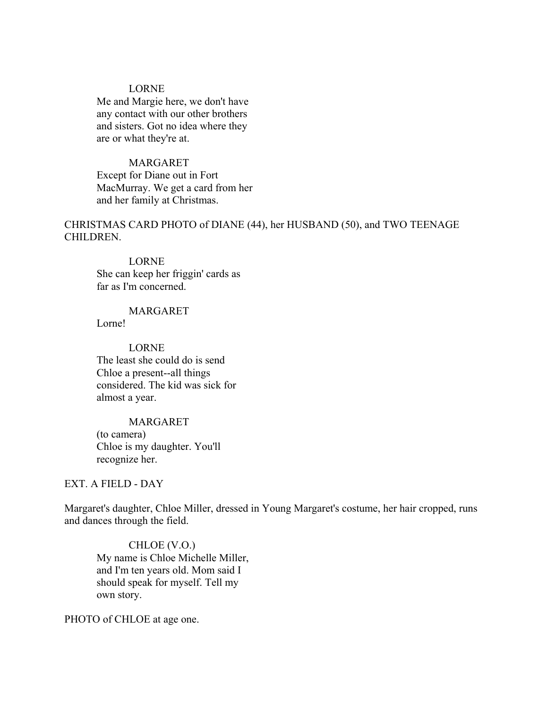# LORNE

Me and Margie here, we don't have any contact with our other brothers and sisters. Got no idea where they are or what they're at.

### MARGARET

Except for Diane out in Fort MacMurray. We get a card from her and her family at Christmas.

CHRISTMAS CARD PHOTO of DIANE (44), her HUSBAND (50), and TWO TEENAGE CHILDREN.

#### LORNE

She can keep her friggin' cards as far as I'm concerned

# MARGARET

Lorne!

# LORNE The least she could do is send Chloe a present--all things considered. The kid was sick for almost a year.

### MARGARET

(to camera) Chloe is my daughter. You'll recognize her.

# EXT. A FIELD - DAY

Margaret's daughter, Chloe Miller, dressed in Young Margaret's costume, her hair cropped, runs and dances through the field.

CHLOE (V.O.) My name is Chloe Michelle Miller, and I'm ten years old. Mom said I should speak for myself. Tell my own story.

PHOTO of CHLOE at age one.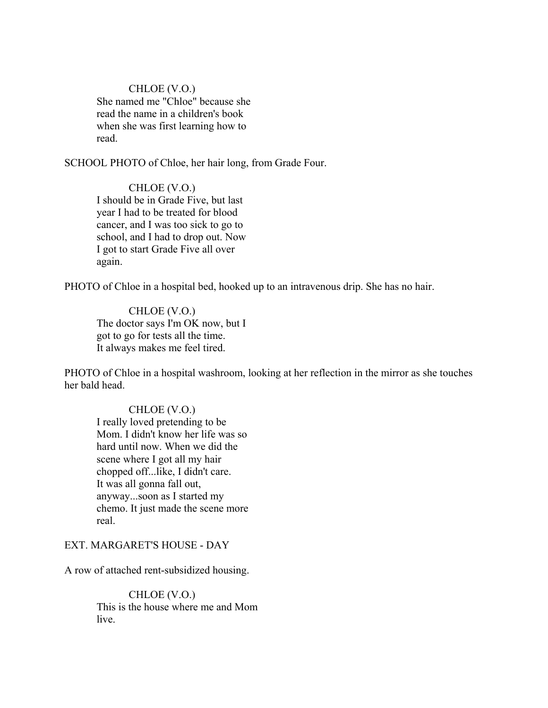# CHLOE (V.O.) She named me "Chloe" because she read the name in a children's book when she was first learning how to read.

SCHOOL PHOTO of Chloe, her hair long, from Grade Four.

CHLOE (V.O.) I should be in Grade Five, but last year I had to be treated for blood cancer, and I was too sick to go to school, and I had to drop out. Now I got to start Grade Five all over again.

PHOTO of Chloe in a hospital bed, hooked up to an intravenous drip. She has no hair.

CHLOE (V.O.) The doctor says I'm OK now, but I got to go for tests all the time. It always makes me feel tired.

PHOTO of Chloe in a hospital washroom, looking at her reflection in the mirror as she touches her bald head.

# CHLOE (V.O.)

I really loved pretending to be Mom. I didn't know her life was so hard until now. When we did the scene where I got all my hair chopped off...like, I didn't care. It was all gonna fall out, anyway...soon as I started my chemo. It just made the scene more real.

# EXT. MARGARET'S HOUSE - DAY

A row of attached rent-subsidized housing.

CHLOE (V.O.) This is the house where me and Mom live.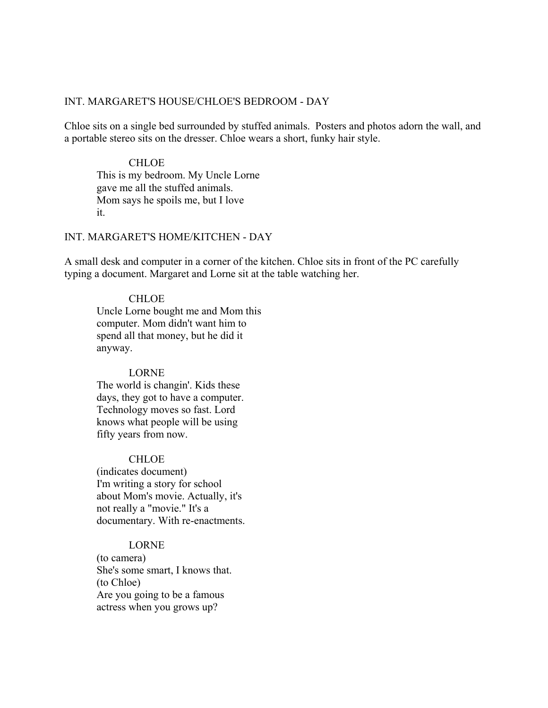# INT. MARGARET'S HOUSE/CHLOE'S BEDROOM - DAY

Chloe sits on a single bed surrounded by stuffed animals. Posters and photos adorn the wall, and a portable stereo sits on the dresser. Chloe wears a short, funky hair style.

# **CHLOE** This is my bedroom. My Uncle Lorne gave me all the stuffed animals. Mom says he spoils me, but I love it.

### INT. MARGARET'S HOME/KITCHEN - DAY

A small desk and computer in a corner of the kitchen. Chloe sits in front of the PC carefully typing a document. Margaret and Lorne sit at the table watching her.

### CHLOE

Uncle Lorne bought me and Mom this computer. Mom didn't want him to spend all that money, but he did it anyway.

#### LORNE

The world is changin'. Kids these days, they got to have a computer. Technology moves so fast. Lord knows what people will be using fifty years from now.

# **CHLOE**

(indicates document) I'm writing a story for school about Mom's movie. Actually, it's not really a "movie." It's a documentary. With re-enactments.

# LORNE

(to camera) She's some smart, I knows that. (to Chloe) Are you going to be a famous actress when you grows up?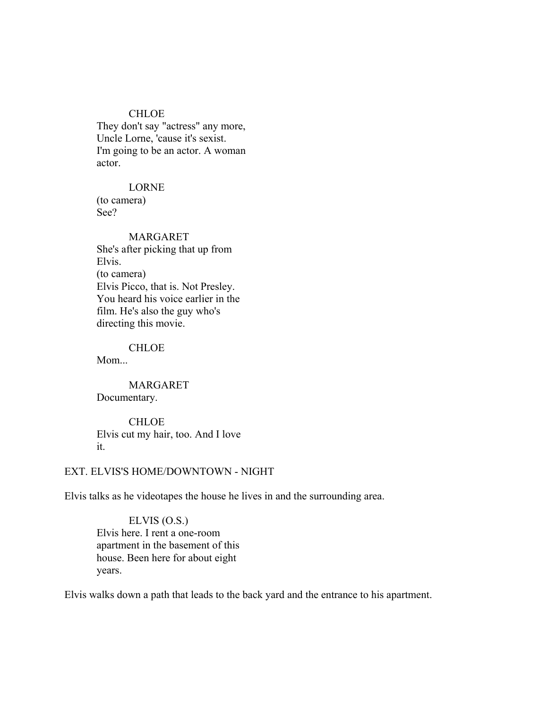# CHLOE

They don't say "actress" any more, Uncle Lorne, 'cause it's sexist. I'm going to be an actor. A woman actor.

# LORNE

(to camera) See?

# MARGARET

She's after picking that up from Elvis. (to camera) Elvis Picco, that is. Not Presley. You heard his voice earlier in the film. He's also the guy who's directing this movie.

#### **CHLOE**

Mom...

MARGARET Documentary.

CHLOE Elvis cut my hair, too. And I love it.

# EXT. ELVIS'S HOME/DOWNTOWN - NIGHT

Elvis talks as he videotapes the house he lives in and the surrounding area.

ELVIS (O.S.) Elvis here. I rent a one-room apartment in the basement of this house. Been here for about eight years.

Elvis walks down a path that leads to the back yard and the entrance to his apartment.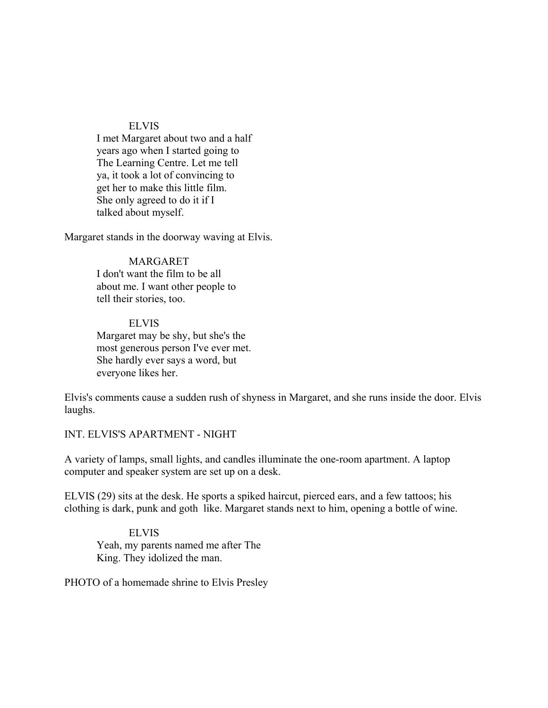#### ELVIS

I met Margaret about two and a half years ago when I started going to The Learning Centre. Let me tell ya, it took a lot of convincing to get her to make this little film. She only agreed to do it if I talked about myself.

Margaret stands in the doorway waving at Elvis.

# MARGARET

I don't want the film to be all about me. I want other people to tell their stories, too.

#### ELVIS

Margaret may be shy, but she's the most generous person I've ever met. She hardly ever says a word, but everyone likes her.

Elvis's comments cause a sudden rush of shyness in Margaret, and she runs inside the door. Elvis laughs.

INT. ELVIS'S APARTMENT - NIGHT

A variety of lamps, small lights, and candles illuminate the one-room apartment. A laptop computer and speaker system are set up on a desk.

ELVIS (29) sits at the desk. He sports a spiked haircut, pierced ears, and a few tattoos; his clothing is dark, punk and goth like. Margaret stands next to him, opening a bottle of wine.

ELVIS Yeah, my parents named me after The King. They idolized the man.

PHOTO of a homemade shrine to Elvis Presley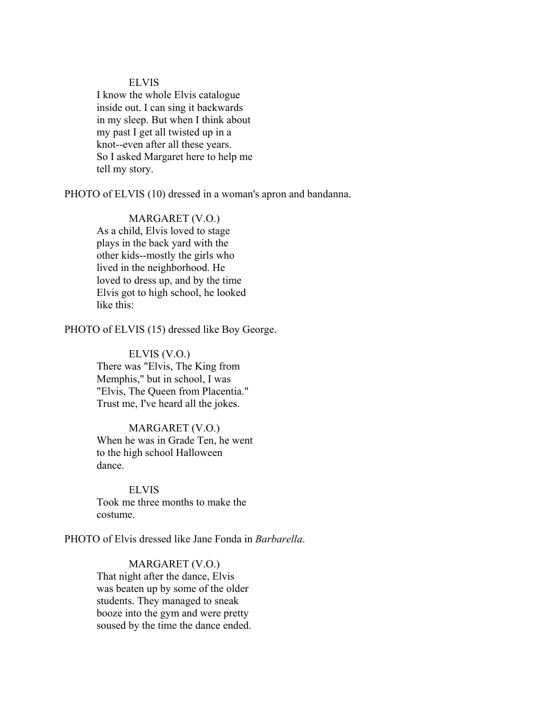### ELVIS

I know the whole Elvis catalogue inside out. I can sing it backwards in my sleep. But when I think about my past I get all twisted up in a knot--even after all these years. So I asked Margaret here to help me tell my story.

PHOTO of ELVIS (10) dressed in a woman's apron and bandanna.

# MARGARET (V.O.)

As a child, Elvis loved to stage plays in the back yard with the other kids--mostly the girls who lived in the neighborhood. He loved to dress up, and by the time Elvis got to high school, he looked like this:

PHOTO of ELVIS (15) dressed like Boy George.

#### ELVIS (V.O.)

There was "Elvis, The King from Memphis," but in school, I was "Elvis, The Queen from Placentia." Trust me, I've heard all the jokes.

# MARGARET (V.O.) When he was in Grade Ten, he went to the high school Halloween dance.

ELVIS Took me three months to make the costume.

PHOTO of Elvis dressed like Jane Fonda in *Barbarella*.

# MARGARET (V.O.)

That night after the dance, Elvis was beaten up by some of the older students. They managed to sneak booze into the gym and were pretty soused by the time the dance ended.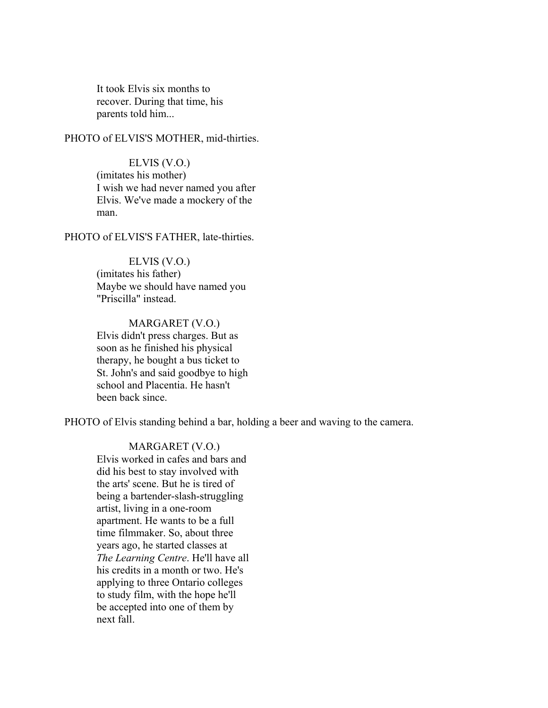It took Elvis six months to recover. During that time, his parents told him...

PHOTO of ELVIS'S MOTHER, mid-thirties.

ELVIS (V.O.) (imitates his mother) I wish we had never named you after Elvis. We've made a mockery of the man.

PHOTO of ELVIS'S FATHER, late-thirties.

ELVIS (V.O.) (imitates his father) Maybe we should have named you "Priscilla" instead.

MARGARET (V.O.) Elvis didn't press charges. But as soon as he finished his physical therapy, he bought a bus ticket to St. John's and said goodbye to high school and Placentia. He hasn't been back since.

PHOTO of Elvis standing behind a bar, holding a beer and waving to the camera.

MARGARET (V.O.) Elvis worked in cafes and bars and did his best to stay involved with the arts' scene. But he is tired of being a bartender-slash-struggling artist, living in a one-room apartment. He wants to be a full time filmmaker. So, about three years ago, he started classes at *The Learning Centre*. He'll have all his credits in a month or two. He's applying to three Ontario colleges to study film, with the hope he'll be accepted into one of them by next fall.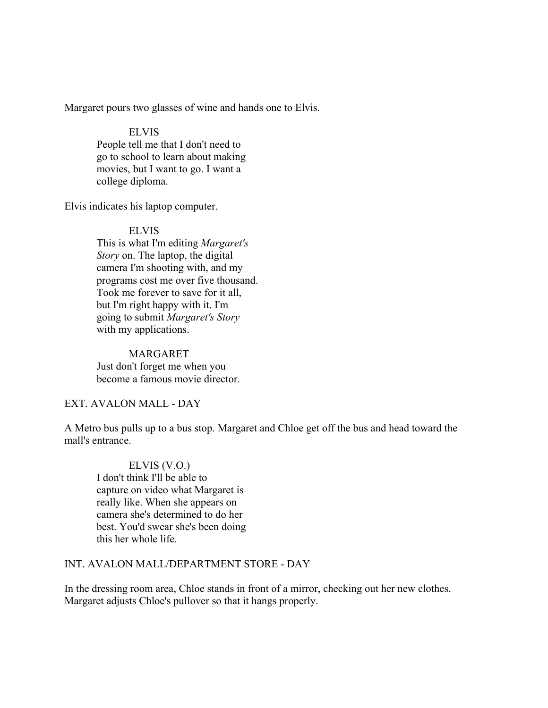Margaret pours two glasses of wine and hands one to Elvis.

# ELVIS

People tell me that I don't need to go to school to learn about making movies, but I want to go. I want a college diploma.

Elvis indicates his laptop computer.

# ELVIS

This is what I'm editing *Margaret's Story* on. The laptop, the digital camera I'm shooting with, and my programs cost me over five thousand. Took me forever to save for it all, but I'm right happy with it. I'm going to submit *Margaret's Story* with my applications.

MARGARET Just don't forget me when you become a famous movie director.

### EXT. AVALON MALL - DAY

A Metro bus pulls up to a bus stop. Margaret and Chloe get off the bus and head toward the mall's entrance.

ELVIS (V.O.) I don't think I'll be able to capture on video what Margaret is really like. When she appears on camera she's determined to do her best. You'd swear she's been doing this her whole life.

# INT. AVALON MALL/DEPARTMENT STORE - DAY

In the dressing room area, Chloe stands in front of a mirror, checking out her new clothes. Margaret adjusts Chloe's pullover so that it hangs properly.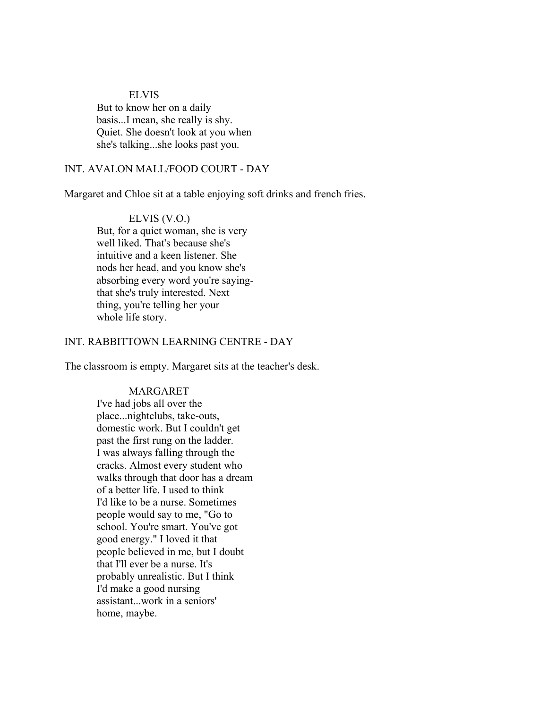### ELVIS

But to know her on a daily basis...I mean, she really is shy. Quiet. She doesn't look at you when she's talking...she looks past you.

# INT. AVALON MALL/FOOD COURT - DAY

Margaret and Chloe sit at a table enjoying soft drinks and french fries.

ELVIS (V.O.) But, for a quiet woman, she is very well liked. That's because she's intuitive and a keen listener. She nods her head, and you know she's absorbing every word you're sayingthat she's truly interested. Next thing, you're telling her your whole life story.

# INT. RABBITTOWN LEARNING CENTRE - DAY

The classroom is empty. Margaret sits at the teacher's desk.

#### MARGARET

I've had jobs all over the place...nightclubs, take-outs, domestic work. But I couldn't get past the first rung on the ladder. I was always falling through the cracks. Almost every student who walks through that door has a dream of a better life. I used to think I'd like to be a nurse. Sometimes people would say to me, "Go to school. You're smart. You've got good energy." I loved it that people believed in me, but I doubt that I'll ever be a nurse. It's probably unrealistic. But I think I'd make a good nursing assistant...work in a seniors' home, maybe.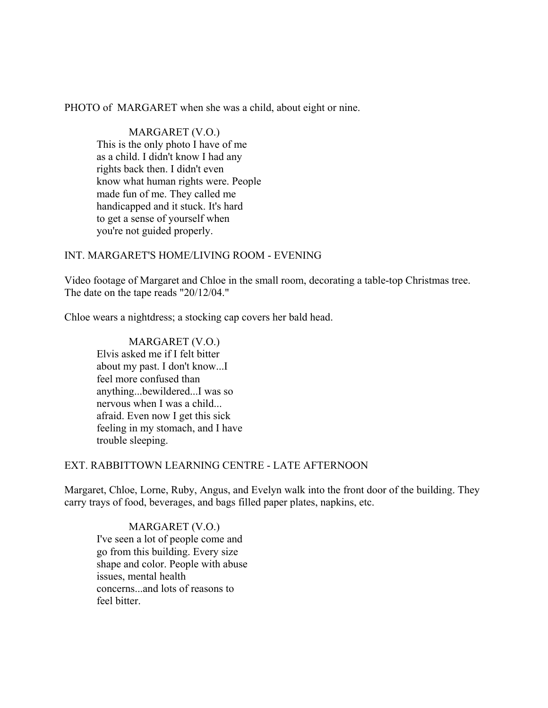PHOTO of MARGARET when she was a child, about eight or nine.

MARGARET (V.O.) This is the only photo I have of me as a child. I didn't know I had any rights back then. I didn't even know what human rights were. People made fun of me. They called me handicapped and it stuck. It's hard to get a sense of yourself when you're not guided properly.

# INT. MARGARET'S HOME/LIVING ROOM - EVENING

Video footage of Margaret and Chloe in the small room, decorating a table-top Christmas tree. The date on the tape reads "20/12/04."

Chloe wears a nightdress; a stocking cap covers her bald head.

MARGARET (V.O.) Elvis asked me if I felt bitter about my past. I don't know...I feel more confused than anything...bewildered...I was so nervous when I was a child... afraid. Even now I get this sick feeling in my stomach, and I have trouble sleeping.

# EXT. RABBITTOWN LEARNING CENTRE - LATE AFTERNOON

Margaret, Chloe, Lorne, Ruby, Angus, and Evelyn walk into the front door of the building. They carry trays of food, beverages, and bags filled paper plates, napkins, etc.

MARGARET (V.O.) I've seen a lot of people come and go from this building. Every size shape and color. People with abuse issues, mental health concerns...and lots of reasons to feel bitter.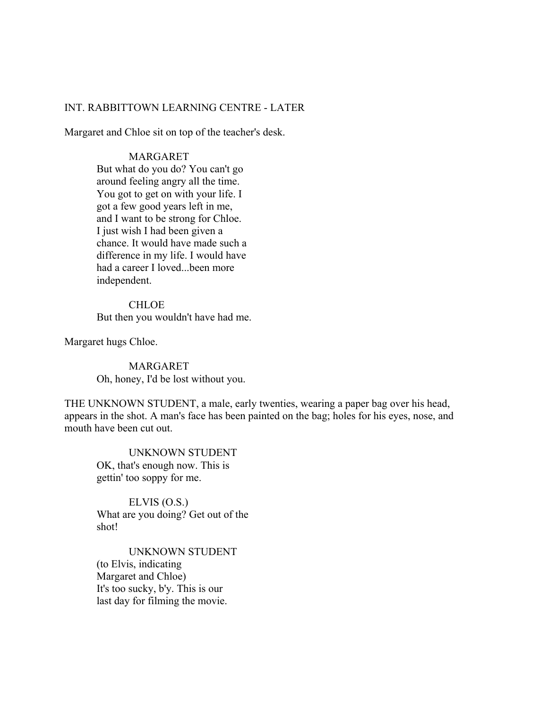### INT. RABBITTOWN LEARNING CENTRE - LATER

Margaret and Chloe sit on top of the teacher's desk.

### MARGARET

But what do you do? You can't go around feeling angry all the time. You got to get on with your life. I got a few good years left in me, and I want to be strong for Chloe. I just wish I had been given a chance. It would have made such a difference in my life. I would have had a career I loved...been more independent.

CHLOE But then you wouldn't have had me.

Margaret hugs Chloe.

MARGARET Oh, honey, I'd be lost without you.

THE UNKNOWN STUDENT, a male, early twenties, wearing a paper bag over his head, appears in the shot. A man's face has been painted on the bag; holes for his eyes, nose, and mouth have been cut out.

UNKNOWN STUDENT OK, that's enough now. This is gettin' too soppy for me.

ELVIS (O.S.) What are you doing? Get out of the shot!

UNKNOWN STUDENT (to Elvis, indicating Margaret and Chloe) It's too sucky, b'y. This is our last day for filming the movie.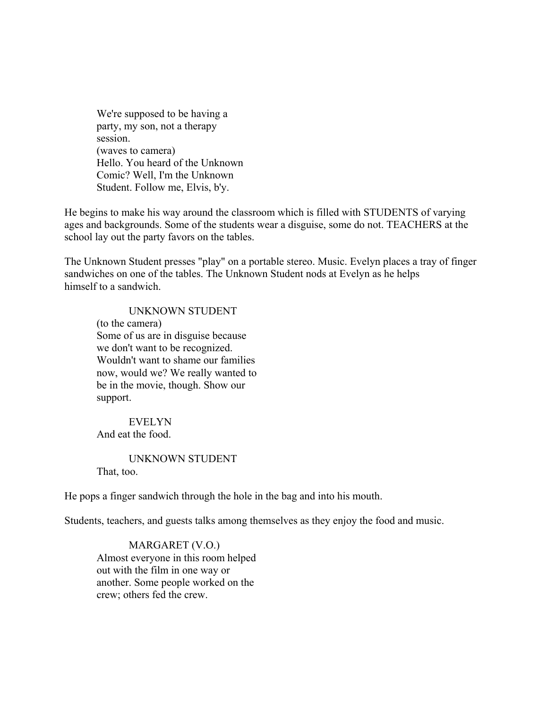We're supposed to be having a party, my son, not a therapy session. (waves to camera) Hello. You heard of the Unknown Comic? Well, I'm the Unknown Student. Follow me, Elvis, b'y.

He begins to make his way around the classroom which is filled with STUDENTS of varying ages and backgrounds. Some of the students wear a disguise, some do not. TEACHERS at the school lay out the party favors on the tables.

The Unknown Student presses "play" on a portable stereo. Music. Evelyn places a tray of finger sandwiches on one of the tables. The Unknown Student nods at Evelyn as he helps himself to a sandwich.

### UNKNOWN STUDENT

(to the camera) Some of us are in disguise because we don't want to be recognized. Wouldn't want to shame our families now, would we? We really wanted to be in the movie, though. Show our support.

EVELYN And eat the food.

UNKNOWN STUDENT That, too.

He pops a finger sandwich through the hole in the bag and into his mouth.

Students, teachers, and guests talks among themselves as they enjoy the food and music.

MARGARET (V.O.) Almost everyone in this room helped out with the film in one way or another. Some people worked on the crew; others fed the crew.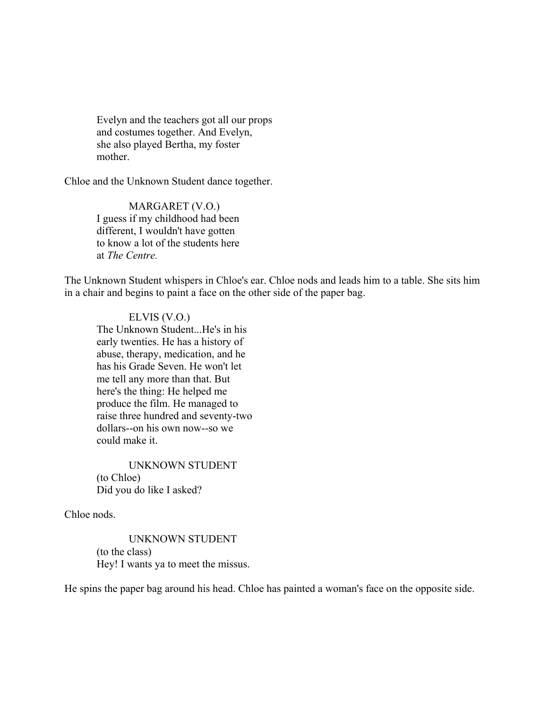Evelyn and the teachers got all our props and costumes together. And Evelyn, she also played Bertha, my foster mother.

Chloe and the Unknown Student dance together.

MARGARET (V.O.) I guess if my childhood had been different, I wouldn't have gotten to know a lot of the students here at *The Centre.*

The Unknown Student whispers in Chloe's ear. Chloe nods and leads him to a table. She sits him in a chair and begins to paint a face on the other side of the paper bag.

ELVIS (V.O.) The Unknown Student...He's in his early twenties. He has a history of abuse, therapy, medication, and he has his Grade Seven. He won't let me tell any more than that. But here's the thing: He helped me produce the film. He managed to raise three hundred and seventy-two dollars--on his own now--so we could make it.

UNKNOWN STUDENT (to Chloe) Did you do like I asked?

Chloe nods.

UNKNOWN STUDENT (to the class) Hey! I wants ya to meet the missus.

He spins the paper bag around his head. Chloe has painted a woman's face on the opposite side.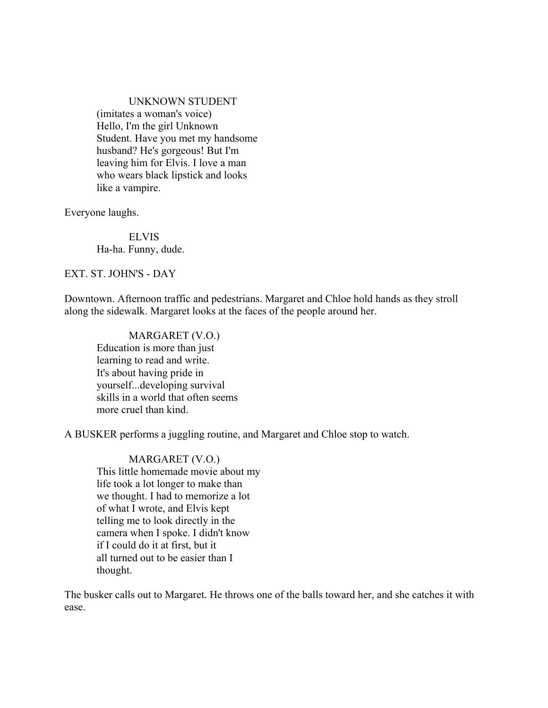#### UNKNOWN STUDENT

(imitates a woman's voice) Hello, I'm the girl Unknown Student. Have you met my handsome husband? He's gorgeous! But I'm leaving him for Elvis. I love a man who wears black lipstick and looks like a vampire.

Everyone laughs.

ELVIS Ha-ha. Funny, dude.

EXT. ST. JOHN'S - DAY

Downtown. Afternoon traffic and pedestrians. Margaret and Chloe hold hands as they stroll along the sidewalk. Margaret looks at the faces of the people around her.

MARGARET (V.O.) Education is more than just learning to read and write. It's about having pride in yourself...developing survival skills in a world that often seems more cruel than kind.

A BUSKER performs a juggling routine, and Margaret and Chloe stop to watch.

MARGARET (V.O.) This little homemade movie about my life took a lot longer to make than we thought. I had to memorize a lot of what I wrote, and Elvis kept telling me to look directly in the camera when I spoke. I didn't know if I could do it at first, but it all turned out to be easier than I thought.

The busker calls out to Margaret. He throws one of the balls toward her, and she catches it with ease.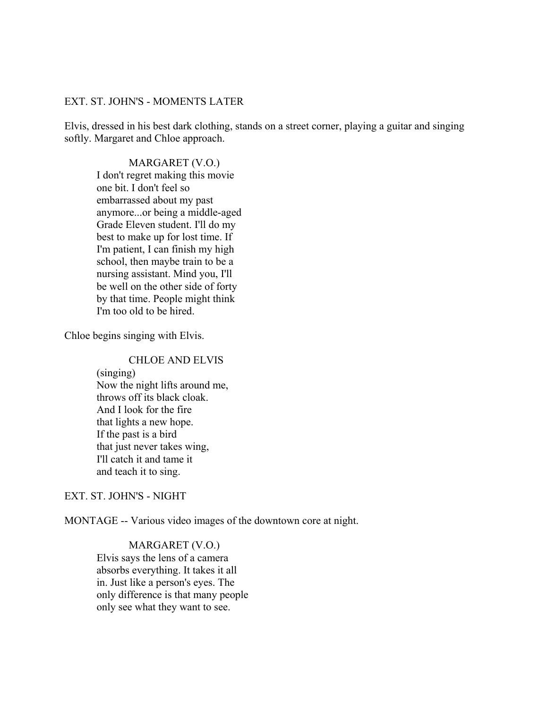#### EXT. ST. JOHN'S - MOMENTS LATER

Elvis, dressed in his best dark clothing, stands on a street corner, playing a guitar and singing softly. Margaret and Chloe approach.

MARGARET (V.O.) I don't regret making this movie one bit. I don't feel so embarrassed about my past anymore...or being a middle-aged Grade Eleven student. I'll do my best to make up for lost time. If I'm patient, I can finish my high school, then maybe train to be a nursing assistant. Mind you, I'll be well on the other side of forty by that time. People might think I'm too old to be hired.

Chloe begins singing with Elvis.

CHLOE AND ELVIS (singing) Now the night lifts around me, throws off its black cloak. And I look for the fire that lights a new hope. If the past is a bird that just never takes wing, I'll catch it and tame it and teach it to sing.

EXT. ST. JOHN'S - NIGHT

MONTAGE -- Various video images of the downtown core at night.

# MARGARET (V.O.)

Elvis says the lens of a camera absorbs everything. It takes it all in. Just like a person's eyes. The only difference is that many people only see what they want to see.